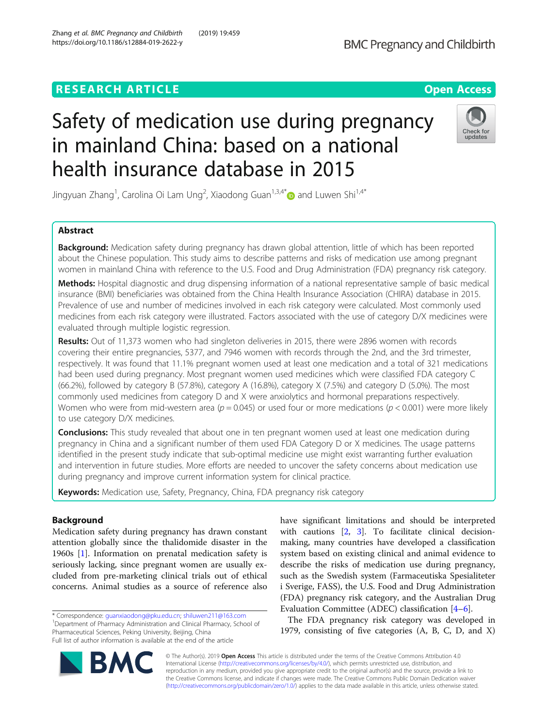## **RESEARCH ARTICLE Example 2014 12:30 The Contract of Contract ACCESS**

# Safety of medication use during pregnancy in mainland China: based on a national health insurance database in 2015



Jingyuan Zhang<sup>1</sup>, Carolina Oi Lam Ung<sup>2</sup>, Xiaodong Guan<sup>1,3,4\*</sup> $\bullet$  and Luwen Shi<sup>1,4\*</sup>

### Abstract

Background: Medication safety during pregnancy has drawn global attention, little of which has been reported about the Chinese population. This study aims to describe patterns and risks of medication use among pregnant women in mainland China with reference to the U.S. Food and Drug Administration (FDA) pregnancy risk category.

Methods: Hospital diagnostic and drug dispensing information of a national representative sample of basic medical insurance (BMI) beneficiaries was obtained from the China Health Insurance Association (CHIRA) database in 2015. Prevalence of use and number of medicines involved in each risk category were calculated. Most commonly used medicines from each risk category were illustrated. Factors associated with the use of category D/X medicines were evaluated through multiple logistic regression.

Results: Out of 11,373 women who had singleton deliveries in 2015, there were 2896 women with records covering their entire pregnancies, 5377, and 7946 women with records through the 2nd, and the 3rd trimester, respectively. It was found that 11.1% pregnant women used at least one medication and a total of 321 medications had been used during pregnancy. Most pregnant women used medicines which were classified FDA category C (66.2%), followed by category B (57.8%), category A (16.8%), category X (7.5%) and category D (5.0%). The most commonly used medicines from category D and X were anxiolytics and hormonal preparations respectively. Women who were from mid-western area ( $p = 0.045$ ) or used four or more medications ( $p < 0.001$ ) were more likely to use category D/X medicines.

**Conclusions:** This study revealed that about one in ten pregnant women used at least one medication during pregnancy in China and a significant number of them used FDA Category D or X medicines. The usage patterns identified in the present study indicate that sub-optimal medicine use might exist warranting further evaluation and intervention in future studies. More efforts are needed to uncover the safety concerns about medication use during pregnancy and improve current information system for clinical practice.

Keywords: Medication use, Safety, Pregnancy, China, FDA pregnancy risk category

#### Background

Medication safety during pregnancy has drawn constant attention globally since the thalidomide disaster in the 1960s [\[1](#page-7-0)]. Information on prenatal medication safety is seriously lacking, since pregnant women are usually excluded from pre-marketing clinical trials out of ethical concerns. Animal studies as a source of reference also

\* Correspondence: [guanxiaodong@pku.edu.cn;](mailto:guanxiaodong@pku.edu.cn) [shiluwen211@163.com](mailto:shiluwen211@163.com) <sup>1</sup> <sup>1</sup>Department of Pharmacy Administration and Clinical Pharmacy, School of Pharmaceutical Sciences, Peking University, Beijing, China Full list of author information is available at the end of the article

have significant limitations and should be interpreted with cautions [\[2,](#page-7-0) [3](#page-7-0)]. To facilitate clinical decisionmaking, many countries have developed a classification system based on existing clinical and animal evidence to describe the risks of medication use during pregnancy, such as the Swedish system (Farmaceutiska Spesialiteter i Sverige, FASS), the U.S. Food and Drug Administration (FDA) pregnancy risk category, and the Australian Drug Evaluation Committee (ADEC) classification [[4](#page-7-0)–[6\]](#page-7-0).

The FDA pregnancy risk category was developed in 1979, consisting of five categories (A, B, C, D, and X)



© The Author(s). 2019 Open Access This article is distributed under the terms of the Creative Commons Attribution 4.0 International License [\(http://creativecommons.org/licenses/by/4.0/](http://creativecommons.org/licenses/by/4.0/)), which permits unrestricted use, distribution, and reproduction in any medium, provided you give appropriate credit to the original author(s) and the source, provide a link to the Creative Commons license, and indicate if changes were made. The Creative Commons Public Domain Dedication waiver [\(http://creativecommons.org/publicdomain/zero/1.0/](http://creativecommons.org/publicdomain/zero/1.0/)) applies to the data made available in this article, unless otherwise stated.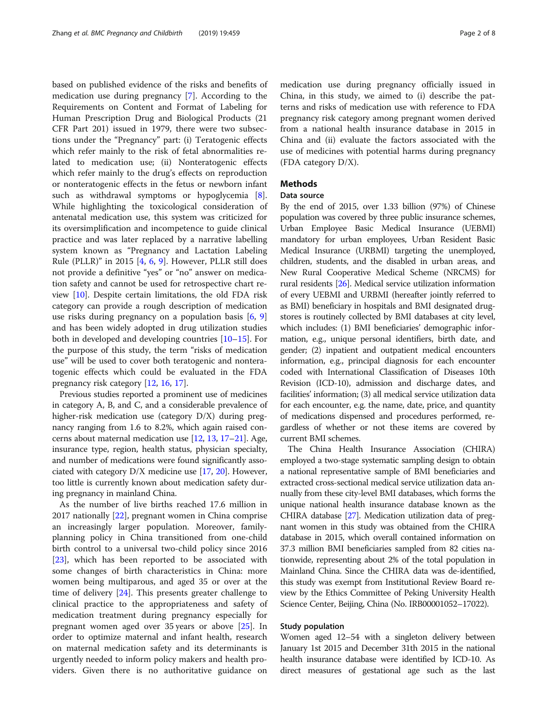based on published evidence of the risks and benefits of medication use during pregnancy [\[7](#page-7-0)]. According to the Requirements on Content and Format of Labeling for Human Prescription Drug and Biological Products (21 CFR Part 201) issued in 1979, there were two subsections under the "Pregnancy" part: (i) Teratogenic effects which refer mainly to the risk of fetal abnormalities related to medication use; (ii) Nonteratogenic effects which refer mainly to the drug's effects on reproduction or nonteratogenic effects in the fetus or newborn infant such as withdrawal symptoms or hypoglycemia [\[8](#page-7-0)]. While highlighting the toxicological consideration of antenatal medication use, this system was criticized for its oversimplification and incompetence to guide clinical practice and was later replaced by a narrative labelling system known as "Pregnancy and Lactation Labeling Rule (PLLR)" in 2015 [[4,](#page-7-0) [6](#page-7-0), [9](#page-7-0)]. However, PLLR still does not provide a definitive "yes" or "no" answer on medication safety and cannot be used for retrospective chart review [\[10](#page-7-0)]. Despite certain limitations, the old FDA risk category can provide a rough description of medication use risks during pregnancy on a population basis [\[6](#page-7-0), [9](#page-7-0)] and has been widely adopted in drug utilization studies both in developed and developing countries [[10](#page-7-0)–[15](#page-7-0)]. For the purpose of this study, the term "risks of medication use" will be used to cover both teratogenic and nonteratogenic effects which could be evaluated in the FDA pregnancy risk category [[12,](#page-7-0) [16,](#page-7-0) [17\]](#page-7-0).

Previous studies reported a prominent use of medicines in category A, B, and C, and a considerable prevalence of higher-risk medication use (category D/X) during pregnancy ranging from 1.6 to 8.2%, which again raised concerns about maternal medication use [[12](#page-7-0), [13,](#page-7-0) [17](#page-7-0)–[21\]](#page-7-0). Age, insurance type, region, health status, physician specialty, and number of medications were found significantly associated with category D/X medicine use [[17](#page-7-0), [20](#page-7-0)]. However, too little is currently known about medication safety during pregnancy in mainland China.

As the number of live births reached 17.6 million in 2017 nationally [\[22\]](#page-7-0), pregnant women in China comprise an increasingly larger population. Moreover, familyplanning policy in China transitioned from one-child birth control to a universal two-child policy since 2016 [[23\]](#page-7-0), which has been reported to be associated with some changes of birth characteristics in China: more women being multiparous, and aged 35 or over at the time of delivery [\[24](#page-7-0)]. This presents greater challenge to clinical practice to the appropriateness and safety of medication treatment during pregnancy especially for pregnant women aged over 35 years or above [[25\]](#page-7-0). In order to optimize maternal and infant health, research on maternal medication safety and its determinants is urgently needed to inform policy makers and health providers. Given there is no authoritative guidance on medication use during pregnancy officially issued in China, in this study, we aimed to (i) describe the patterns and risks of medication use with reference to FDA pregnancy risk category among pregnant women derived from a national health insurance database in 2015 in China and (ii) evaluate the factors associated with the use of medicines with potential harms during pregnancy (FDA category D/X).

### **Methods**

#### Data source

By the end of 2015, over 1.33 billion (97%) of Chinese population was covered by three public insurance schemes, Urban Employee Basic Medical Insurance (UEBMI) mandatory for urban employees, Urban Resident Basic Medical Insurance (URBMI) targeting the unemployed, children, students, and the disabled in urban areas, and New Rural Cooperative Medical Scheme (NRCMS) for rural residents [[26](#page-7-0)]. Medical service utilization information of every UEBMI and URBMI (hereafter jointly referred to as BMI) beneficiary in hospitals and BMI designated drugstores is routinely collected by BMI databases at city level, which includes: (1) BMI beneficiaries' demographic information, e.g., unique personal identifiers, birth date, and gender; (2) inpatient and outpatient medical encounters information, e.g., principal diagnosis for each encounter coded with International Classification of Diseases 10th Revision (ICD-10), admission and discharge dates, and facilities' information; (3) all medical service utilization data for each encounter, e.g. the name, date, price, and quantity of medications dispensed and procedures performed, regardless of whether or not these items are covered by current BMI schemes.

The China Health Insurance Association (CHIRA) employed a two-stage systematic sampling design to obtain a national representative sample of BMI beneficiaries and extracted cross-sectional medical service utilization data annually from these city-level BMI databases, which forms the unique national health insurance database known as the CHIRA database [[27](#page-7-0)]. Medication utilization data of pregnant women in this study was obtained from the CHIRA database in 2015, which overall contained information on 37.3 million BMI beneficiaries sampled from 82 cities nationwide, representing about 2% of the total population in Mainland China. Since the CHIRA data was de-identified, this study was exempt from Institutional Review Board review by the Ethics Committee of Peking University Health Science Center, Beijing, China (No. IRB00001052–17022).

#### Study population

Women aged 12–54 with a singleton delivery between January 1st 2015 and December 31th 2015 in the national health insurance database were identified by ICD-10. As direct measures of gestational age such as the last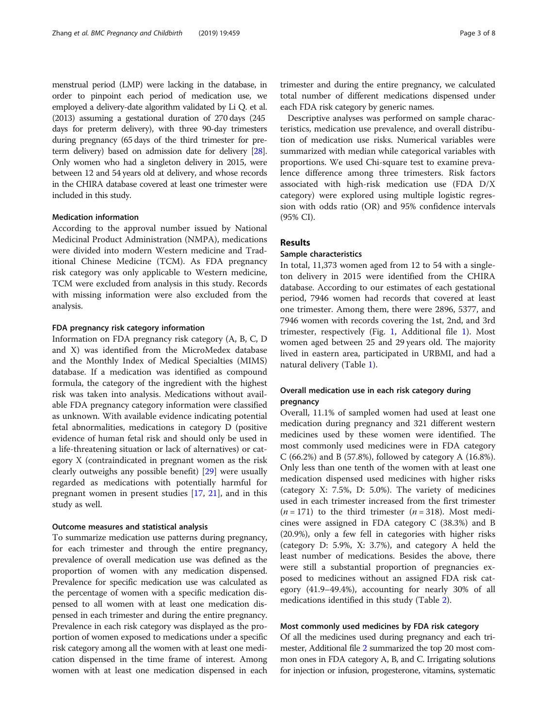menstrual period (LMP) were lacking in the database, in order to pinpoint each period of medication use, we employed a delivery-date algorithm validated by Li Q. et al. (2013) assuming a gestational duration of 270 days (245 days for preterm delivery), with three 90-day trimesters during pregnancy (65 days of the third trimester for preterm delivery) based on admission date for delivery [\[28](#page-7-0)]. Only women who had a singleton delivery in 2015, were between 12 and 54 years old at delivery, and whose records in the CHIRA database covered at least one trimester were included in this study.

#### Medication information

According to the approval number issued by National Medicinal Product Administration (NMPA), medications were divided into modern Western medicine and Traditional Chinese Medicine (TCM). As FDA pregnancy risk category was only applicable to Western medicine, TCM were excluded from analysis in this study. Records with missing information were also excluded from the analysis.

#### FDA pregnancy risk category information

Information on FDA pregnancy risk category (A, B, C, D and X) was identified from the MicroMedex database and the Monthly Index of Medical Specialties (MIMS) database. If a medication was identified as compound formula, the category of the ingredient with the highest risk was taken into analysis. Medications without available FDA pregnancy category information were classified as unknown. With available evidence indicating potential fetal abnormalities, medications in category D (positive evidence of human fetal risk and should only be used in a life-threatening situation or lack of alternatives) or category X (contraindicated in pregnant women as the risk clearly outweighs any possible benefit) [[29\]](#page-7-0) were usually regarded as medications with potentially harmful for pregnant women in present studies [[17,](#page-7-0) [21](#page-7-0)], and in this study as well.

#### Outcome measures and statistical analysis

To summarize medication use patterns during pregnancy, for each trimester and through the entire pregnancy, prevalence of overall medication use was defined as the proportion of women with any medication dispensed. Prevalence for specific medication use was calculated as the percentage of women with a specific medication dispensed to all women with at least one medication dispensed in each trimester and during the entire pregnancy. Prevalence in each risk category was displayed as the proportion of women exposed to medications under a specific risk category among all the women with at least one medication dispensed in the time frame of interest. Among women with at least one medication dispensed in each

trimester and during the entire pregnancy, we calculated total number of different medications dispensed under each FDA risk category by generic names.

Descriptive analyses was performed on sample characteristics, medication use prevalence, and overall distribution of medication use risks. Numerical variables were summarized with median while categorical variables with proportions. We used Chi-square test to examine prevalence difference among three trimesters. Risk factors associated with high-risk medication use (FDA D/X category) were explored using multiple logistic regression with odds ratio (OR) and 95% confidence intervals (95% CI).

#### Results

#### Sample characteristics

In total, 11,373 women aged from 12 to 54 with a singleton delivery in 2015 were identified from the CHIRA database. According to our estimates of each gestational period, 7946 women had records that covered at least one trimester. Among them, there were 2896, 5377, and 7946 women with records covering the 1st, 2nd, and 3rd trimester, respectively (Fig. [1](#page-3-0), Additional file [1](#page-6-0)). Most women aged between 25 and 29 years old. The majority lived in eastern area, participated in URBMI, and had a natural delivery (Table [1](#page-3-0)).

#### Overall medication use in each risk category during pregnancy

Overall, 11.1% of sampled women had used at least one medication during pregnancy and 321 different western medicines used by these women were identified. The most commonly used medicines were in FDA category C (66.2%) and B (57.8%), followed by category A (16.8%). Only less than one tenth of the women with at least one medication dispensed used medicines with higher risks (category X: 7.5%, D: 5.0%). The variety of medicines used in each trimester increased from the first trimester  $(n = 171)$  to the third trimester  $(n = 318)$ . Most medicines were assigned in FDA category C (38.3%) and B (20.9%), only a few fell in categories with higher risks (category D: 5.9%, X: 3.7%), and category A held the least number of medications. Besides the above, there were still a substantial proportion of pregnancies exposed to medicines without an assigned FDA risk category (41.9–49.4%), accounting for nearly 30% of all medications identified in this study (Table [2\)](#page-4-0).

#### Most commonly used medicines by FDA risk category

Of all the medicines used during pregnancy and each trimester, Additional file [2](#page-6-0) summarized the top 20 most common ones in FDA category A, B, and C. Irrigating solutions for injection or infusion, progesterone, vitamins, systematic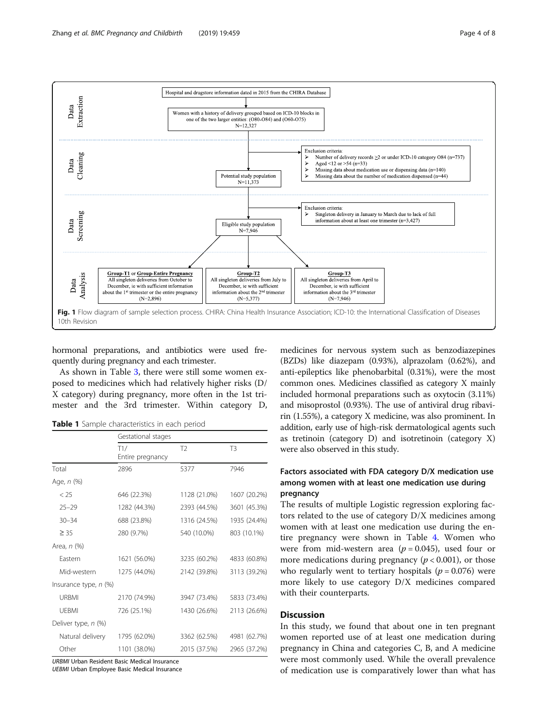<span id="page-3-0"></span>

hormonal preparations, and antibiotics were used frequently during pregnancy and each trimester.

As shown in Table [3](#page-5-0), there were still some women exposed to medicines which had relatively higher risks (D/ X category) during pregnancy, more often in the 1st trimester and the 3rd trimester. Within category D,

Table 1 Sample characteristics in each period

|                       | Gestational stages      |                |                |  |  |
|-----------------------|-------------------------|----------------|----------------|--|--|
|                       | T1/<br>Entire pregnancy | T <sub>2</sub> | T <sub>3</sub> |  |  |
| Total                 | 2896                    | 5377           | 7946           |  |  |
| Age, n (%)            |                         |                |                |  |  |
| < 25                  | 646 (22.3%)             | 1128 (21.0%)   | 1607 (20.2%)   |  |  |
| $25 - 29$             | 1282 (44.3%)            | 2393 (44.5%)   | 3601 (45.3%)   |  |  |
| $30 - 34$             | 688 (23.8%)             | 1316 (24.5%)   | 1935 (24.4%)   |  |  |
| $\geq$ 35             | 280 (9.7%)              | 540 (10.0%)    | 803 (10.1%)    |  |  |
| Area, n (%)           |                         |                |                |  |  |
| Eastern               | 1621 (56.0%)            | 3235 (60.2%)   | 4833 (60.8%)   |  |  |
| Mid-western           | 1275 (44.0%)            | 2142 (39.8%)   | 3113 (39.2%)   |  |  |
| Insurance type, n (%) |                         |                |                |  |  |
| <b>URBMI</b>          | 2170 (74.9%)            | 3947 (73.4%)   | 5833 (73.4%)   |  |  |
| <b>UFBMI</b>          | 726 (25.1%)             | 1430 (26.6%)   | 2113 (26.6%)   |  |  |
| Deliver type, n (%)   |                         |                |                |  |  |
| Natural delivery      | 1795 (62.0%)            | 3362 (62.5%)   | 4981 (62.7%)   |  |  |
| Other                 | 1101 (38.0%)            | 2015 (37.5%)   | 2965 (37.2%)   |  |  |

URBMI Urban Resident Basic Medical Insurance

UEBMI Urban Employee Basic Medical Insurance

medicines for nervous system such as benzodiazepines (BZDs) like diazepam (0.93%), alprazolam (0.62%), and anti-epileptics like phenobarbital (0.31%), were the most common ones. Medicines classified as category X mainly included hormonal preparations such as oxytocin (3.11%) and misoprostol (0.93%). The use of antiviral drug ribavirin (1.55%), a category X medicine, was also prominent. In addition, early use of high-risk dermatological agents such as tretinoin (category D) and isotretinoin (category X) were also observed in this study.

#### Factors associated with FDA category D/X medication use among women with at least one medication use during pregnancy

The results of multiple Logistic regression exploring factors related to the use of category D/X medicines among women with at least one medication use during the entire pregnancy were shown in Table [4](#page-5-0). Women who were from mid-western area ( $p = 0.045$ ), used four or more medications during pregnancy ( $p < 0.001$ ), or those who regularly went to tertiary hospitals ( $p = 0.076$ ) were more likely to use category D/X medicines compared with their counterparts.

#### **Discussion**

In this study, we found that about one in ten pregnant women reported use of at least one medication during pregnancy in China and categories C, B, and A medicine were most commonly used. While the overall prevalence of medication use is comparatively lower than what has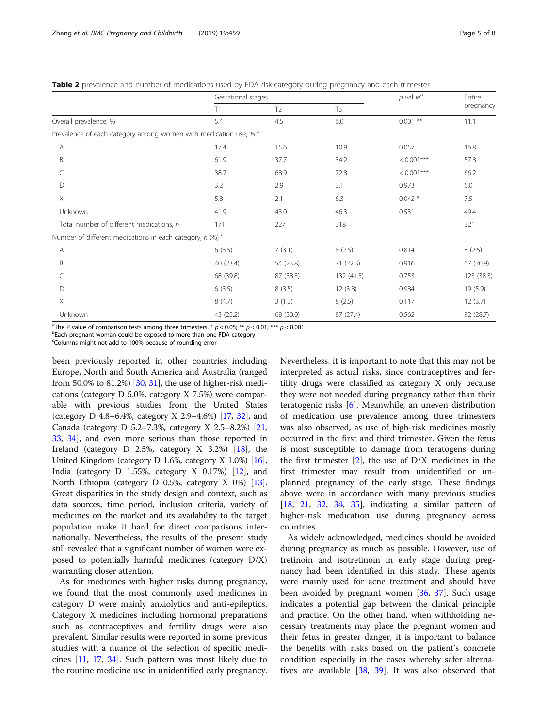<span id="page-4-0"></span>Table 2 prevalence and number of medications used by FDA risk category during pregnancy and each trimester

|                                                                  | Gestational stages |                |                | $p$ value <sup><math>a</math></sup> | Entire     |
|------------------------------------------------------------------|--------------------|----------------|----------------|-------------------------------------|------------|
|                                                                  | T1                 | T <sub>2</sub> | T <sub>3</sub> |                                     | pregnancy  |
| Overall prevalence, %                                            | 5.4                | 4.5            | 6.0            | $0.001$ **                          | 11.1       |
| Prevalence of each category among women with medication use, % b |                    |                |                |                                     |            |
| А                                                                | 17.4               | 15.6           | 10.9           | 0.057                               | 16.8       |
| B                                                                | 61.9               | 37.7           | 34.2           | $< 0.001$ ***                       | 57.8       |
| C                                                                | 38.7               | 68.9           | 72.8           | $< 0.001$ ***                       | 66.2       |
| D                                                                | 3.2                | 2.9            | 3.1            | 0.973                               | 5.0        |
| X                                                                | 5.8                | 2.1            | 6.3            | $0.042*$                            | 7.5        |
| Unknown                                                          | 41.9               | 43.0           | 46.3           | 0.531                               | 49.4       |
| Total number of different medications, n                         | 171                | 227            | 318            |                                     | 321        |
| Number of different medications in each category, $n$ (%) $c$    |                    |                |                |                                     |            |
| А                                                                | 6(3.5)             | 7(3.1)         | 8(2.5)         | 0.814                               | 8(2.5)     |
| B                                                                | 40 (23.4)          | 54 (23.8)      | 71(22.3)       | 0.916                               | 67 (20.9)  |
| C                                                                | 68 (39.8)          | 87 (38.3)      | 132 (41.5)     | 0.753                               | 123 (38.3) |
| D                                                                | 6(3.5)             | 8(3.5)         | 12(3.8)        | 0.984                               | 19(5.9)    |
| X                                                                | 8(4.7)             | 3(1.3)         | 8(2.5)         | 0.117                               | 12(3.7)    |
| Unknown                                                          | 43 (25.2)          | 68 (30.0)      | 87 (27.4)      | 0.562                               | 92 (28.7)  |

The P value of comparison tests among three trimesters. \*  $p < 0.05$ ; \*\*  $p < 0.01$ ; \*\*\*  $p < 0.001$ 

 $b$ Each pregnant woman could be exposed to more than one FDA category

c Columns might not add to 100% because of rounding error

been previously reported in other countries including Europe, North and South America and Australia (ranged from 50.0% to 81.2%) [[30](#page-7-0), [31](#page-7-0)], the use of higher-risk medications (category D 5.0%, category X 7.5%) were comparable with previous studies from the United States (category D 4.8–6.4%, category X 2.9–4.6%) [\[17,](#page-7-0) [32\]](#page-7-0), and Canada (category D 5.2–7.3%, category X 2.5–8.2%) [[21](#page-7-0), [33](#page-7-0), [34\]](#page-7-0), and even more serious than those reported in Ireland (category D 2.5%, category X 3.2%)  $[18]$ , the United Kingdom (category D 1.6%, category X 1.0%) [[16](#page-7-0)], India (category D 1.55%, category X 0.17%) [\[12\]](#page-7-0), and North Ethiopia (category D 0.5%, category X 0%) [[13](#page-7-0)]. Great disparities in the study design and context, such as data sources, time period, inclusion criteria, variety of medicines on the market and its availability to the target population make it hard for direct comparisons internationally. Nevertheless, the results of the present study still revealed that a significant number of women were exposed to potentially harmful medicines (category D/X) warranting closer attention.

As for medicines with higher risks during pregnancy, we found that the most commonly used medicines in category D were mainly anxiolytics and anti-epileptics. Category X medicines including hormonal preparations such as contraceptives and fertility drugs were also prevalent. Similar results were reported in some previous studies with a nuance of the selection of specific medicines [[11](#page-7-0), [17,](#page-7-0) [34\]](#page-7-0). Such pattern was most likely due to the routine medicine use in unidentified early pregnancy. Nevertheless, it is important to note that this may not be interpreted as actual risks, since contraceptives and fertility drugs were classified as category X only because they were not needed during pregnancy rather than their teratogenic risks [\[6](#page-7-0)]. Meanwhile, an uneven distribution of medication use prevalence among three trimesters was also observed, as use of high-risk medicines mostly occurred in the first and third trimester. Given the fetus is most susceptible to damage from teratogens during the first trimester  $[2]$  $[2]$ , the use of  $D/X$  medicines in the first trimester may result from unidentified or unplanned pregnancy of the early stage. These findings above were in accordance with many previous studies [[18,](#page-7-0) [21](#page-7-0), [32,](#page-7-0) [34,](#page-7-0) [35](#page-7-0)], indicating a similar pattern of higher-risk medication use during pregnancy across countries.

As widely acknowledged, medicines should be avoided during pregnancy as much as possible. However, use of tretinoin and isotretinoin in early stage during pregnancy had been identified in this study. These agents were mainly used for acne treatment and should have been avoided by pregnant women [[36,](#page-7-0) [37](#page-7-0)]. Such usage indicates a potential gap between the clinical principle and practice. On the other hand, when withholding necessary treatments may place the pregnant women and their fetus in greater danger, it is important to balance the benefits with risks based on the patient's concrete condition especially in the cases whereby safer alternatives are available [[38,](#page-7-0) [39\]](#page-7-0). It was also observed that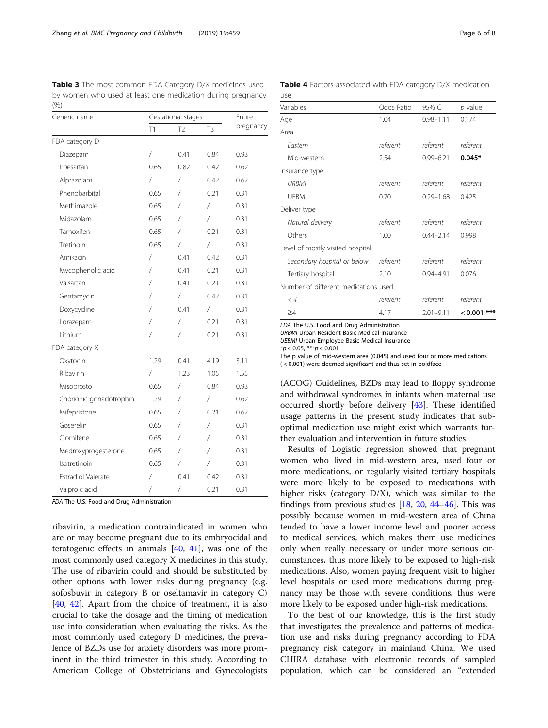<span id="page-5-0"></span>Table 3 The most common FDA Category D/X medicines used by women who used at least one medication during pregnancy (%)

| Generic name              | Gestational stages   | Entire         |                |           |
|---------------------------|----------------------|----------------|----------------|-----------|
|                           | T1                   | T <sub>2</sub> | T <sub>3</sub> | pregnancy |
| FDA category D            |                      |                |                |           |
| Diazepam                  | $\sqrt{\phantom{a}}$ | 0.41           | 0.84           | 0.93      |
| Irbesartan                | 0.65                 | 0.82           | 0.42           | 0.62      |
| Alprazolam                | $\sqrt{2}$           | $\sqrt{2}$     | 0.42           | 0.62      |
| Phenobarbital             | 0.65                 | $\sqrt{2}$     | 0.21           | 0.31      |
| Methimazole               | 0.65                 | /              | $\overline{1}$ | 0.31      |
| Midazolam                 | 0.65                 | 7              | $\sqrt{2}$     | 0.31      |
| Tamoxifen                 | 0.65                 | /              | 0.21           | 0.31      |
| Tretinoin                 | 0.65                 | $\sqrt{2}$     | $\sqrt{2}$     | 0.31      |
| Amikacin                  | /                    | 0.41           | 0.42           | 0.31      |
| Mycophenolic acid         | Τ                    | 0.41           | 0.21           | 0.31      |
| Valsartan                 | Τ                    | 0.41           | 0.21           | 0.31      |
| Gentamycin                | /                    | $\sqrt{2}$     | 0.42           | 0.31      |
| Doxycycline               | Τ                    | 0.41           | $\overline{1}$ | 0.31      |
| Lorazepam                 | Τ                    | /              | 0.21           | 0.31      |
| I ithium                  | /                    | /              | 0.21           | 0.31      |
| FDA category X            |                      |                |                |           |
| Oxytocin                  | 1.29                 | 0.41           | 4.19           | 3.11      |
| Ribavirin                 | $\sqrt{2}$           | 1.23           | 1.05           | 1.55      |
| Misoprostol               | 0.65                 | 7              | 0.84           | 0.93      |
| Chorionic gonadotrophin   | 1.29                 | 7              | $\sqrt{2}$     | 0.62      |
| Mifepristone              | 0.65                 | /              | 0.21           | 0.62      |
| Goserelin                 | 0.65                 | /              | $\sqrt{2}$     | 0.31      |
| Clomifene                 | 0.65                 | /              | $\sqrt{2}$     | 0.31      |
| Medroxyprogesterone       | 0.65                 | /              | 7              | 0.31      |
| Isotretinoin              | 0.65                 | /              | /              | 0.31      |
| <b>Estradiol Valerate</b> | /                    | 0.41           | 0.42           | 0.31      |
| Valproic acid             | /                    | $\sqrt{2}$     | 0.21           | 0.31      |

FDA The U.S. Food and Drug Administration

ribavirin, a medication contraindicated in women who are or may become pregnant due to its embryocidal and teratogenic effects in animals  $[40, 41]$  $[40, 41]$  $[40, 41]$ , was one of the most commonly used category X medicines in this study. The use of ribavirin could and should be substituted by other options with lower risks during pregnancy (e.g. sofosbuvir in category B or oseltamavir in category C) [[40,](#page-7-0) [42\]](#page-7-0). Apart from the choice of treatment, it is also crucial to take the dosage and the timing of medication use into consideration when evaluating the risks. As the most commonly used category D medicines, the prevalence of BZDs use for anxiety disorders was more prominent in the third trimester in this study. According to American College of Obstetricians and Gynecologists

|     |  |  |  | Table 4 Factors associated with FDA category D/X medication |
|-----|--|--|--|-------------------------------------------------------------|
| use |  |  |  |                                                             |

| Variables                            | Odds Ratio | 95% CI        | p value          |  |  |  |  |
|--------------------------------------|------------|---------------|------------------|--|--|--|--|
| Age                                  | 1.04       | $0.98 - 1.11$ | 0.174            |  |  |  |  |
| Area                                 |            |               |                  |  |  |  |  |
| Fastern                              | referent   | referent      | referent         |  |  |  |  |
| Mid-western                          | 2.54       | $0.99 - 6.21$ | $0.045*$         |  |  |  |  |
| Insurance type                       |            |               |                  |  |  |  |  |
| URBMI                                | referent   | referent      | referent         |  |  |  |  |
| <b>UFBMI</b>                         | 0.70       | $0.29 - 1.68$ | 0.425            |  |  |  |  |
| Deliver type                         |            |               |                  |  |  |  |  |
| Natural delivery                     | referent   | referent      | referent         |  |  |  |  |
| Others                               | 1.00       | $0.44 - 2.14$ | 0.998            |  |  |  |  |
| Level of mostly visited hospital     |            |               |                  |  |  |  |  |
| Secondary hospital or below          | referent   | referent      | referent         |  |  |  |  |
| Tertiary hospital                    | 2.10       | $0.94 - 4.91$ | 0.076            |  |  |  |  |
| Number of different medications used |            |               |                  |  |  |  |  |
| $\lt 4$                              | referent   | referent      | referent         |  |  |  |  |
| $\geq$ 4                             | 4.17       | $2.01 - 9.11$ | $***$<br>< 0.001 |  |  |  |  |

FDA The U.S. Food and Drug Administration

URBMI Urban Resident Basic Medical Insurance

UEBMI Urban Employee Basic Medical Insurance

 $**p* < 0.05$ ,  $***p* < 0.001$ 

The p value of mid-western area (0.045) and used four or more medications ( < 0.001) were deemed significant and thus set in boldface

(ACOG) Guidelines, BZDs may lead to floppy syndrome and withdrawal syndromes in infants when maternal use occurred shortly before delivery [\[43](#page-7-0)]. These identified usage patterns in the present study indicates that suboptimal medication use might exist which warrants further evaluation and intervention in future studies.

Results of Logistic regression showed that pregnant women who lived in mid-western area, used four or more medications, or regularly visited tertiary hospitals were more likely to be exposed to medications with higher risks (category D/X), which was similar to the findings from previous studies  $[18, 20, 44-46]$  $[18, 20, 44-46]$  $[18, 20, 44-46]$  $[18, 20, 44-46]$  $[18, 20, 44-46]$  $[18, 20, 44-46]$  $[18, 20, 44-46]$  $[18, 20, 44-46]$  $[18, 20, 44-46]$ . This was possibly because women in mid-western area of China tended to have a lower income level and poorer access to medical services, which makes them use medicines only when really necessary or under more serious circumstances, thus more likely to be exposed to high-risk medications. Also, women paying frequent visit to higher level hospitals or used more medications during pregnancy may be those with severe conditions, thus were more likely to be exposed under high-risk medications.

To the best of our knowledge, this is the first study that investigates the prevalence and patterns of medication use and risks during pregnancy according to FDA pregnancy risk category in mainland China. We used CHIRA database with electronic records of sampled population, which can be considered an "extended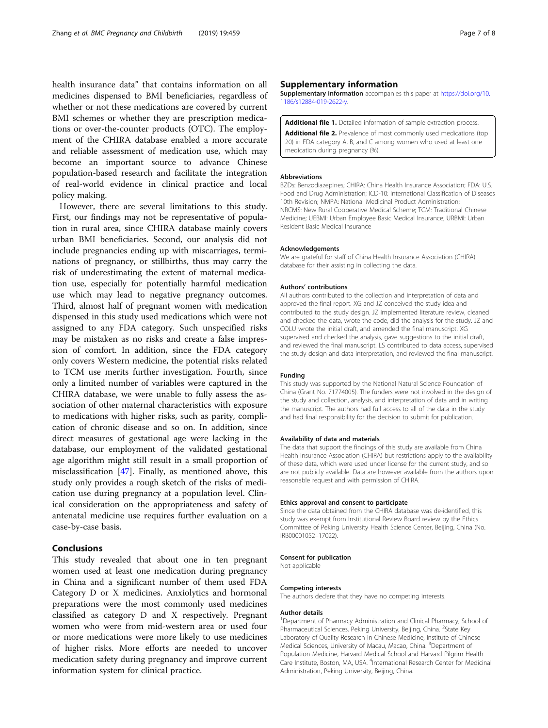<span id="page-6-0"></span>health insurance data" that contains information on all medicines dispensed to BMI beneficiaries, regardless of whether or not these medications are covered by current BMI schemes or whether they are prescription medications or over-the-counter products (OTC). The employment of the CHIRA database enabled a more accurate and reliable assessment of medication use, which may become an important source to advance Chinese population-based research and facilitate the integration of real-world evidence in clinical practice and local policy making.

However, there are several limitations to this study. First, our findings may not be representative of population in rural area, since CHIRA database mainly covers urban BMI beneficiaries. Second, our analysis did not include pregnancies ending up with miscarriages, terminations of pregnancy, or stillbirths, thus may carry the risk of underestimating the extent of maternal medication use, especially for potentially harmful medication use which may lead to negative pregnancy outcomes. Third, almost half of pregnant women with medication dispensed in this study used medications which were not assigned to any FDA category. Such unspecified risks may be mistaken as no risks and create a false impression of comfort. In addition, since the FDA category only covers Western medicine, the potential risks related to TCM use merits further investigation. Fourth, since only a limited number of variables were captured in the CHIRA database, we were unable to fully assess the association of other maternal characteristics with exposure to medications with higher risks, such as parity, complication of chronic disease and so on. In addition, since direct measures of gestational age were lacking in the database, our employment of the validated gestational age algorithm might still result in a small proportion of misclassification [[47\]](#page-7-0). Finally, as mentioned above, this study only provides a rough sketch of the risks of medication use during pregnancy at a population level. Clinical consideration on the appropriateness and safety of antenatal medicine use requires further evaluation on a case-by-case basis.

#### Conclusions

This study revealed that about one in ten pregnant women used at least one medication during pregnancy in China and a significant number of them used FDA Category D or X medicines. Anxiolytics and hormonal preparations were the most commonly used medicines classified as category D and X respectively. Pregnant women who were from mid-western area or used four or more medications were more likely to use medicines of higher risks. More efforts are needed to uncover medication safety during pregnancy and improve current information system for clinical practice.

#### Supplementary information

Supplementary information accompanies this paper at [https://doi.org/10.](https://doi.org/10.1186/s12884-019-2622-y) [1186/s12884-019-2622-y](https://doi.org/10.1186/s12884-019-2622-y).

#### Additional file 1. Detailed information of sample extraction process.

Additional file 2. Prevalence of most commonly used medications (top 20) in FDA category A, B, and C among women who used at least one medication during pregnancy (%).

#### Abbreviations

BZDs: Benzodiazepines; CHIRA: China Health Insurance Association; FDA: U.S. Food and Drug Administration; ICD-10: International Classification of Diseases 10th Revision; NMPA: National Medicinal Product Administration; NRCMS: New Rural Cooperative Medical Scheme; TCM: Traditional Chinese Medicine; UEBMI: Urban Employee Basic Medical Insurance; URBMI: Urban Resident Basic Medical Insurance

#### Acknowledgements

We are grateful for staff of China Health Insurance Association (CHIRA) database for their assisting in collecting the data.

#### Authors' contributions

All authors contributed to the collection and interpretation of data and approved the final report. XG and JZ conceived the study idea and contributed to the study design. JZ implemented literature review, cleaned and checked the data, wrote the code, did the analysis for the study. JZ and COLU wrote the initial draft, and amended the final manuscript. XG supervised and checked the analysis, gave suggestions to the initial draft, and reviewed the final manuscript. LS contributed to data access, supervised the study design and data interpretation, and reviewed the final manuscript.

#### Funding

This study was supported by the National Natural Science Foundation of China (Grant No. 71774005). The funders were not involved in the design of the study and collection, analysis, and interpretation of data and in writing the manuscript. The authors had full access to all of the data in the study and had final responsibility for the decision to submit for publication.

#### Availability of data and materials

The data that support the findings of this study are available from China Health Insurance Association (CHIRA) but restrictions apply to the availability of these data, which were used under license for the current study, and so are not publicly available. Data are however available from the authors upon reasonable request and with permission of CHIRA.

#### Ethics approval and consent to participate

Since the data obtained from the CHIRA database was de-identified, this study was exempt from Institutional Review Board review by the Ethics Committee of Peking University Health Science Center, Beijing, China (No. IRB00001052–17022).

#### Consent for publication

Not applicable

#### Competing interests

The authors declare that they have no competing interests.

#### Author details

<sup>1</sup>Department of Pharmacy Administration and Clinical Pharmacy, School of Pharmaceutical Sciences, Peking University, Beijing, China. <sup>2</sup>State Key Laboratory of Quality Research in Chinese Medicine, Institute of Chinese Medical Sciences, University of Macau, Macao, China. <sup>3</sup>Department of Population Medicine, Harvard Medical School and Harvard Pilgrim Health Care Institute, Boston, MA, USA. <sup>4</sup>International Research Center for Medicinal Administration, Peking University, Beijing, China.